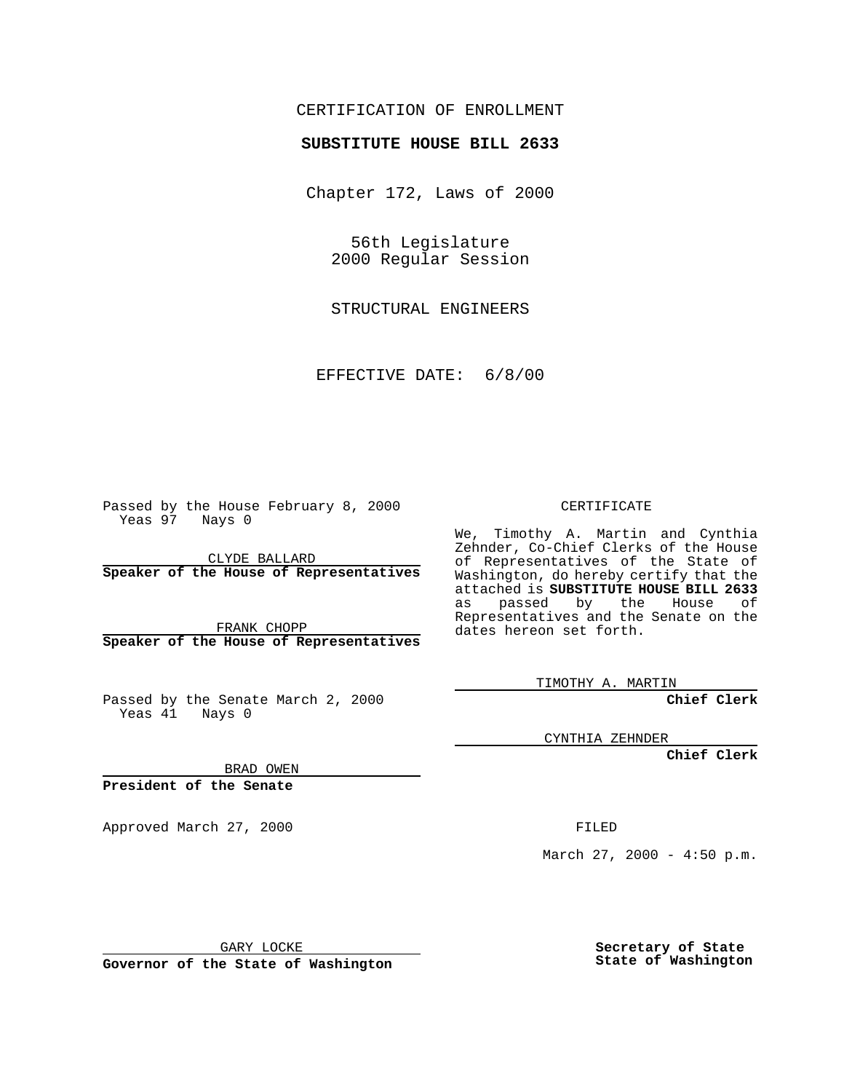## CERTIFICATION OF ENROLLMENT

## **SUBSTITUTE HOUSE BILL 2633**

Chapter 172, Laws of 2000

56th Legislature 2000 Regular Session

STRUCTURAL ENGINEERS

EFFECTIVE DATE: 6/8/00

Passed by the House February 8, 2000 Yeas 97 Nays 0

CLYDE BALLARD **Speaker of the House of Representatives**

FRANK CHOPP **Speaker of the House of Representatives**

Passed by the Senate March 2, 2000 Yeas 41 Nays 0

CERTIFICATE

We, Timothy A. Martin and Cynthia Zehnder, Co-Chief Clerks of the House of Representatives of the State of Washington, do hereby certify that the attached is **SUBSTITUTE HOUSE BILL 2633** as passed by the House of Representatives and the Senate on the dates hereon set forth.

TIMOTHY A. MARTIN

**Chief Clerk**

CYNTHIA ZEHNDER

**Chief Clerk**

BRAD OWEN

**President of the Senate**

Approved March 27, 2000 FILED

March 27, 2000 - 4:50 p.m.

GARY LOCKE

**Governor of the State of Washington**

**Secretary of State State of Washington**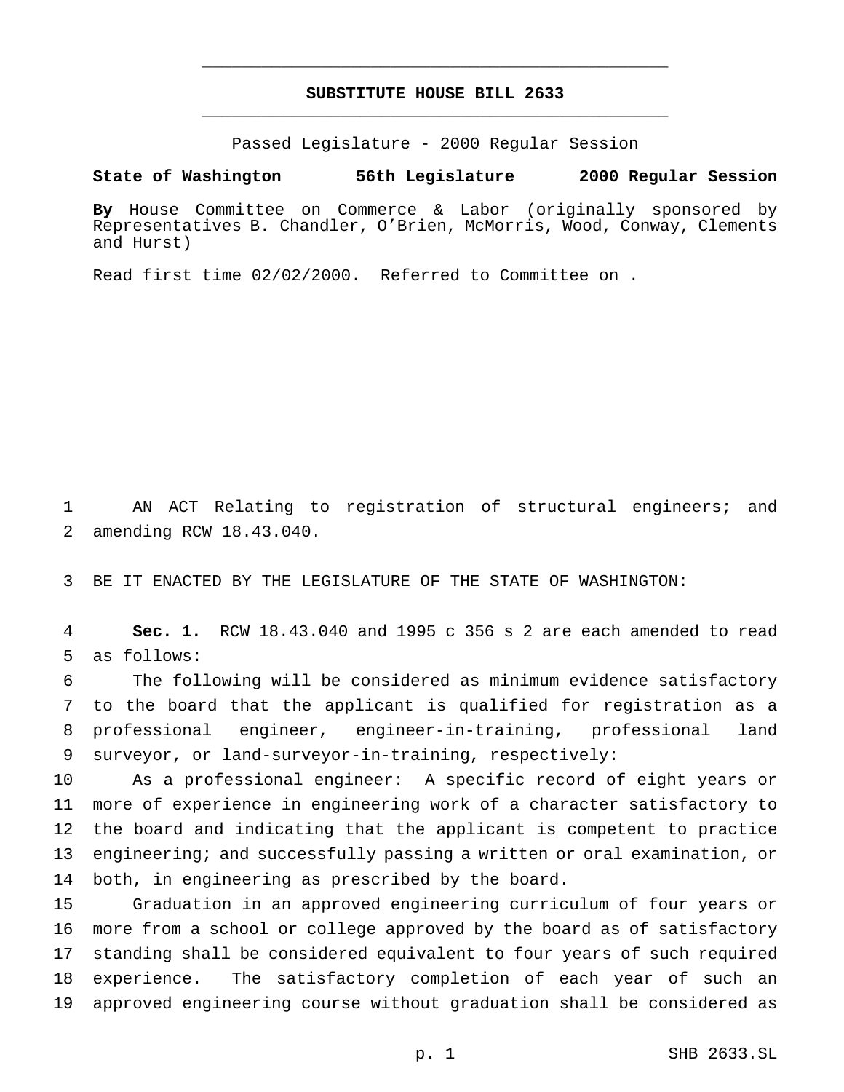## **SUBSTITUTE HOUSE BILL 2633** \_\_\_\_\_\_\_\_\_\_\_\_\_\_\_\_\_\_\_\_\_\_\_\_\_\_\_\_\_\_\_\_\_\_\_\_\_\_\_\_\_\_\_\_\_\_\_

\_\_\_\_\_\_\_\_\_\_\_\_\_\_\_\_\_\_\_\_\_\_\_\_\_\_\_\_\_\_\_\_\_\_\_\_\_\_\_\_\_\_\_\_\_\_\_

Passed Legislature - 2000 Regular Session

**State of Washington 56th Legislature 2000 Regular Session**

**By** House Committee on Commerce & Labor (originally sponsored by Representatives B. Chandler, O'Brien, McMorris, Wood, Conway, Clements and Hurst)

Read first time 02/02/2000. Referred to Committee on .

 AN ACT Relating to registration of structural engineers; and amending RCW 18.43.040.

BE IT ENACTED BY THE LEGISLATURE OF THE STATE OF WASHINGTON:

 **Sec. 1.** RCW 18.43.040 and 1995 c 356 s 2 are each amended to read as follows:

 The following will be considered as minimum evidence satisfactory to the board that the applicant is qualified for registration as a professional engineer, engineer-in-training, professional land surveyor, or land-surveyor-in-training, respectively:

 As a professional engineer: A specific record of eight years or more of experience in engineering work of a character satisfactory to the board and indicating that the applicant is competent to practice engineering; and successfully passing a written or oral examination, or both, in engineering as prescribed by the board.

 Graduation in an approved engineering curriculum of four years or more from a school or college approved by the board as of satisfactory standing shall be considered equivalent to four years of such required experience. The satisfactory completion of each year of such an approved engineering course without graduation shall be considered as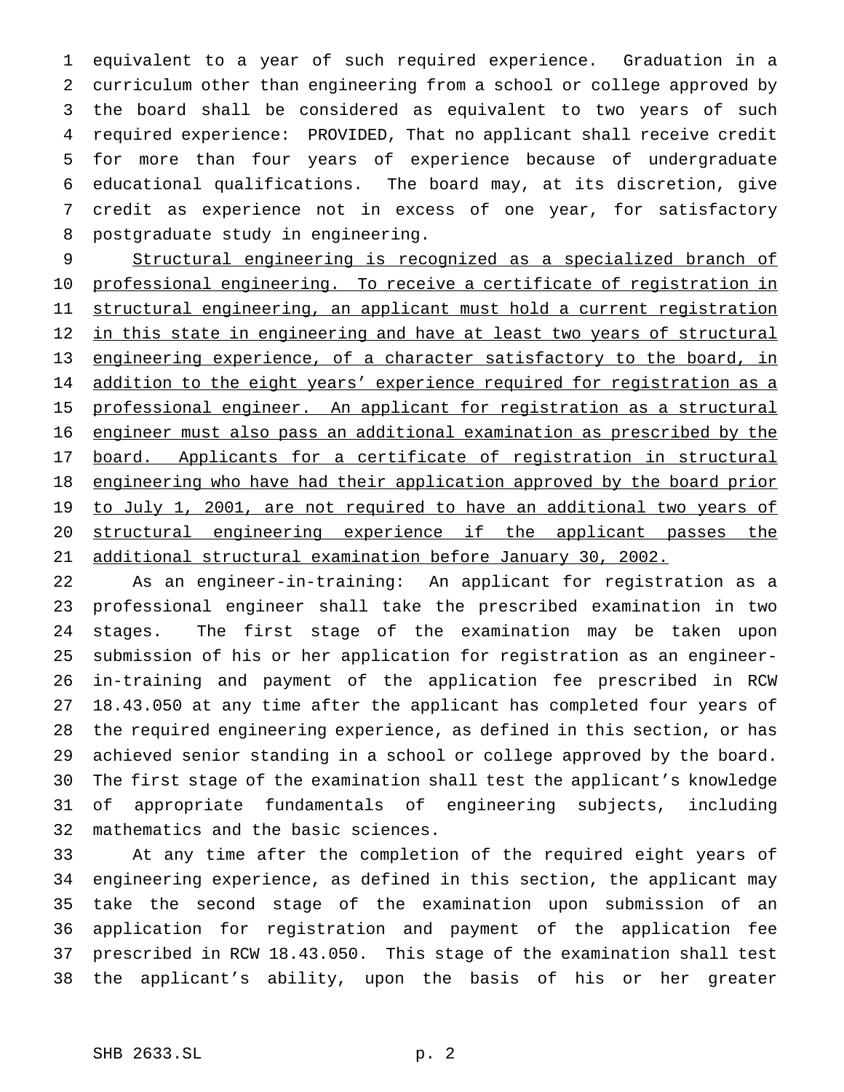equivalent to a year of such required experience. Graduation in a curriculum other than engineering from a school or college approved by the board shall be considered as equivalent to two years of such required experience: PROVIDED, That no applicant shall receive credit for more than four years of experience because of undergraduate educational qualifications. The board may, at its discretion, give credit as experience not in excess of one year, for satisfactory postgraduate study in engineering.

 Structural engineering is recognized as a specialized branch of professional engineering. To receive a certificate of registration in structural engineering, an applicant must hold a current registration 12 in this state in engineering and have at least two years of structural engineering experience, of a character satisfactory to the board, in 14 addition to the eight years' experience required for registration as a professional engineer. An applicant for registration as a structural engineer must also pass an additional examination as prescribed by the 17 board. Applicants for a certificate of registration in structural 18 engineering who have had their application approved by the board prior 19 to July 1, 2001, are not required to have an additional two years of structural engineering experience if the applicant passes the additional structural examination before January 30, 2002.

 As an engineer-in-training: An applicant for registration as a professional engineer shall take the prescribed examination in two stages. The first stage of the examination may be taken upon submission of his or her application for registration as an engineer- in-training and payment of the application fee prescribed in RCW 18.43.050 at any time after the applicant has completed four years of the required engineering experience, as defined in this section, or has achieved senior standing in a school or college approved by the board. The first stage of the examination shall test the applicant's knowledge of appropriate fundamentals of engineering subjects, including mathematics and the basic sciences.

 At any time after the completion of the required eight years of engineering experience, as defined in this section, the applicant may take the second stage of the examination upon submission of an application for registration and payment of the application fee prescribed in RCW 18.43.050. This stage of the examination shall test the applicant's ability, upon the basis of his or her greater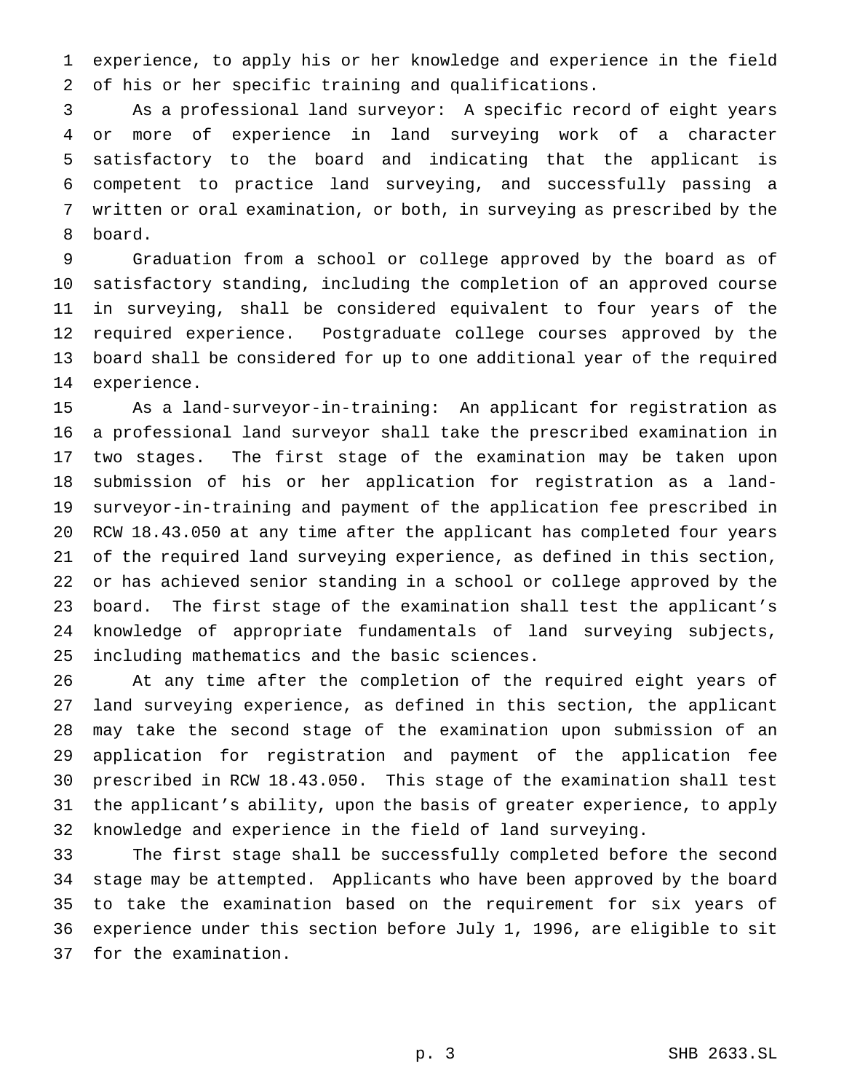experience, to apply his or her knowledge and experience in the field of his or her specific training and qualifications.

 As a professional land surveyor: A specific record of eight years or more of experience in land surveying work of a character satisfactory to the board and indicating that the applicant is competent to practice land surveying, and successfully passing a written or oral examination, or both, in surveying as prescribed by the board.

 Graduation from a school or college approved by the board as of satisfactory standing, including the completion of an approved course in surveying, shall be considered equivalent to four years of the required experience. Postgraduate college courses approved by the board shall be considered for up to one additional year of the required experience.

 As a land-surveyor-in-training: An applicant for registration as a professional land surveyor shall take the prescribed examination in two stages. The first stage of the examination may be taken upon submission of his or her application for registration as a land- surveyor-in-training and payment of the application fee prescribed in RCW 18.43.050 at any time after the applicant has completed four years of the required land surveying experience, as defined in this section, or has achieved senior standing in a school or college approved by the board. The first stage of the examination shall test the applicant's knowledge of appropriate fundamentals of land surveying subjects, including mathematics and the basic sciences.

 At any time after the completion of the required eight years of land surveying experience, as defined in this section, the applicant may take the second stage of the examination upon submission of an application for registration and payment of the application fee prescribed in RCW 18.43.050. This stage of the examination shall test the applicant's ability, upon the basis of greater experience, to apply knowledge and experience in the field of land surveying.

 The first stage shall be successfully completed before the second stage may be attempted. Applicants who have been approved by the board to take the examination based on the requirement for six years of experience under this section before July 1, 1996, are eligible to sit for the examination.